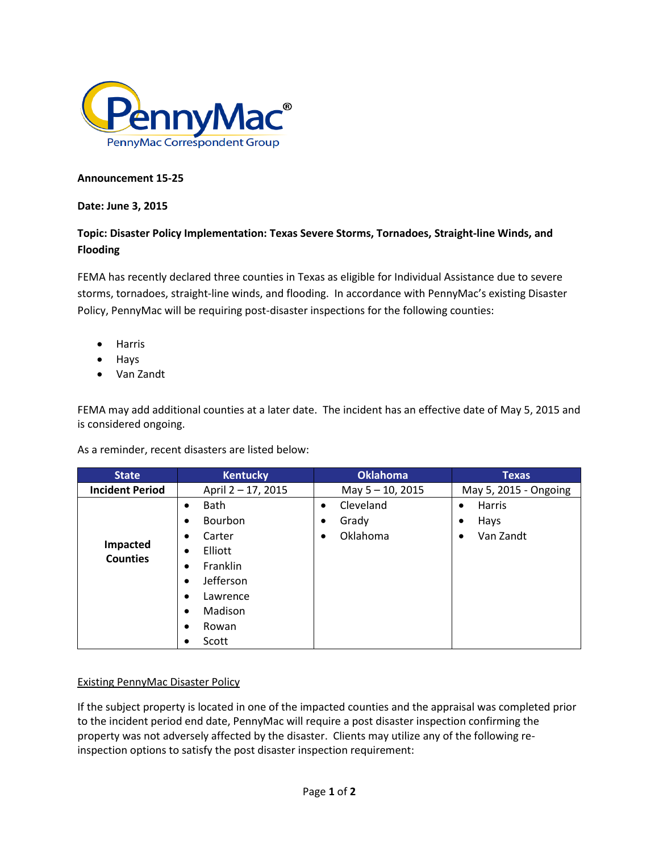

## **Announcement 15-25**

## **Date: June 3, 2015**

## **Topic: Disaster Policy Implementation: Texas Severe Storms, Tornadoes, Straight-line Winds, and Flooding**

FEMA has recently declared three counties in Texas as eligible for Individual Assistance due to severe storms, tornadoes, straight-line winds, and flooding. In accordance with PennyMac's existing Disaster Policy, PennyMac will be requiring post-disaster inspections for the following counties:

- Harris
- Hays
- Van Zandt

FEMA may add additional counties at a later date. The incident has an effective date of May 5, 2015 and is considered ongoing.

As a reminder, recent disasters are listed below:

| <b>State</b>                | <b>Kentucky</b>          | <b>Oklahoma</b>        | <b>Texas</b>           |
|-----------------------------|--------------------------|------------------------|------------------------|
| <b>Incident Period</b>      | April 2 - 17, 2015       | May 5 - 10, 2015       | May 5, 2015 - Ongoing  |
| Impacted<br><b>Counties</b> | <b>Bath</b><br>$\bullet$ | Cleveland<br>$\bullet$ | Harris<br>$\bullet$    |
|                             | Bourbon<br>٠             | Grady<br>٠             | Hays<br>$\bullet$      |
|                             | Carter<br>٠              | Oklahoma               | Van Zandt<br>$\bullet$ |
|                             | Elliott<br>٠             |                        |                        |
|                             | Franklin<br>٠            |                        |                        |
|                             | Jefferson<br>٠           |                        |                        |
|                             | Lawrence<br>٠            |                        |                        |
|                             | Madison<br>$\bullet$     |                        |                        |
|                             | Rowan<br>٠               |                        |                        |
|                             | Scott<br>٠               |                        |                        |

## Existing PennyMac Disaster Policy

If the subject property is located in one of the impacted counties and the appraisal was completed prior to the incident period end date, PennyMac will require a post disaster inspection confirming the property was not adversely affected by the disaster. Clients may utilize any of the following reinspection options to satisfy the post disaster inspection requirement: